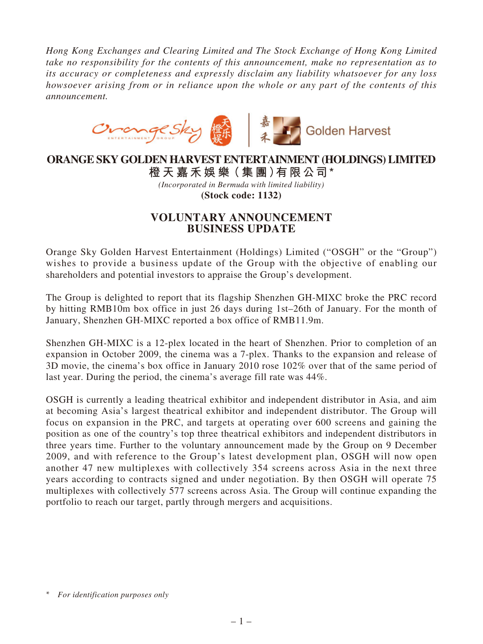*Hong Kong Exchanges and Clearing Limited and The Stock Exchange of Hong Kong Limited take no responsibility for the contents of this announcement, make no representation as to its accuracy or completeness and expressly disclaim any liability whatsoever for any loss howsoever arising from or in reliance upon the whole or any part of the contents of this announcement.*



## **ORANGE SKY GOLDEN HARVEST ENTERTAINMENT (HOLDINGS) LIMITED 橙 天 嘉禾娛 樂(集 團)有限公司\***

*(Incorporated in Bermuda with limited liability)* **(Stock code: 1132)**

## **VOLUNTARY ANNOUNCEMENT BUSINESS UPDATE**

Orange Sky Golden Harvest Entertainment (Holdings) Limited ("OSGH" or the "Group") wishes to provide a business update of the Group with the objective of enabling our shareholders and potential investors to appraise the Group's development.

The Group is delighted to report that its flagship Shenzhen GH-MIXC broke the PRC record by hitting RMB10m box office in just 26 days during 1st–26th of January. For the month of January, Shenzhen GH-MIXC reported a box office of RMB11.9m.

Shenzhen GH-MIXC is a 12-plex located in the heart of Shenzhen. Prior to completion of an expansion in October 2009, the cinema was a 7-plex. Thanks to the expansion and release of 3D movie, the cinema's box office in January 2010 rose 102% over that of the same period of last year. During the period, the cinema's average fill rate was 44%.

OSGH is currently a leading theatrical exhibitor and independent distributor in Asia, and aim at becoming Asia's largest theatrical exhibitor and independent distributor. The Group will focus on expansion in the PRC, and targets at operating over 600 screens and gaining the position as one of the country's top three theatrical exhibitors and independent distributors in three years time. Further to the voluntary announcement made by the Group on 9 December 2009, and with reference to the Group's latest development plan, OSGH will now open another 47 new multiplexes with collectively 354 screens across Asia in the next three years according to contracts signed and under negotiation. By then OSGH will operate 75 multiplexes with collectively 577 screens across Asia. The Group will continue expanding the portfolio to reach our target, partly through mergers and acquisitions.

*<sup>\*</sup> For identification purposes only*